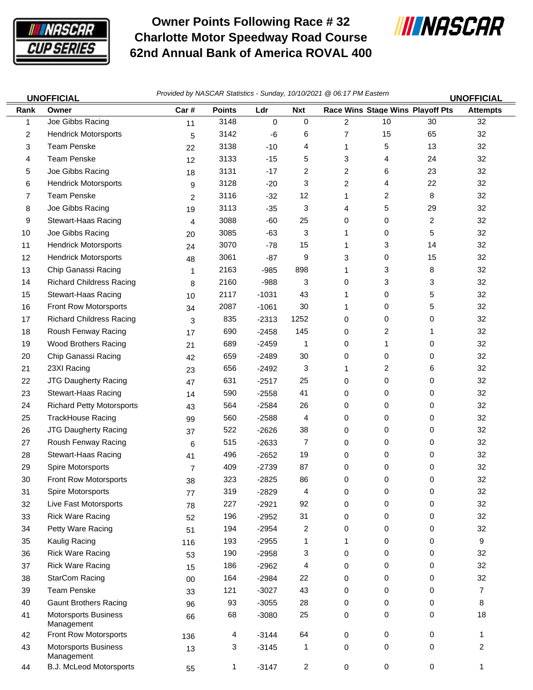

## **Owner Points Following Race # 32 Charlotte Motor Speedway Road Course 62nd Annual Bank of America ROVAL 400**



| <b>UNOFFICIAL</b> |                                           | Provided by NASCAR Statistics - Sunday, 10/10/2021 @ 06:17 PM Eastern<br><b>UNOFFICIAL</b> |               |         |                |                |                                  |                |                 |
|-------------------|-------------------------------------------|--------------------------------------------------------------------------------------------|---------------|---------|----------------|----------------|----------------------------------|----------------|-----------------|
| Rank              | Owner                                     | Car#                                                                                       | <b>Points</b> | Ldr     | <b>Nxt</b>     |                | Race Wins Stage Wins Playoff Pts |                | <b>Attempts</b> |
| $\mathbf{1}$      | Joe Gibbs Racing                          | 11                                                                                         | 3148          | 0       | 0              | $\overline{2}$ | 10                               | 30             | 32              |
| 2                 | <b>Hendrick Motorsports</b>               | 5                                                                                          | 3142          | -6      | 6              | 7              | 15                               | 65             | 32              |
| 3                 | <b>Team Penske</b>                        | 22                                                                                         | 3138          | $-10$   | 4              | 1              | 5                                | 13             | 32              |
| 4                 | <b>Team Penske</b>                        | 12                                                                                         | 3133          | $-15$   | 5              | 3              | 4                                | 24             | 32              |
| 5                 | Joe Gibbs Racing                          | 18                                                                                         | 3131          | $-17$   | $\overline{2}$ | 2              | 6                                | 23             | 32              |
| 6                 | <b>Hendrick Motorsports</b>               | 9                                                                                          | 3128          | $-20$   | 3              | $\overline{c}$ | 4                                | 22             | 32              |
| 7                 | <b>Team Penske</b>                        | $\overline{2}$                                                                             | 3116          | $-32$   | 12             | 1              | 2                                | 8              | 32              |
| 8                 | Joe Gibbs Racing                          | 19                                                                                         | 3113          | $-35$   | 3              | 4              | 5                                | 29             | 32              |
| 9                 | Stewart-Haas Racing                       | 4                                                                                          | 3088          | $-60$   | 25             | 0              | 0                                | $\overline{c}$ | 32              |
| 10                | Joe Gibbs Racing                          | 20                                                                                         | 3085          | $-63$   | 3              | 1              | 0                                | 5              | 32              |
| 11                | <b>Hendrick Motorsports</b>               | 24                                                                                         | 3070          | $-78$   | 15             | 1              | 3                                | 14             | 32              |
| 12                | <b>Hendrick Motorsports</b>               | 48                                                                                         | 3061          | $-87$   | 9              | 3              | 0                                | 15             | 32              |
| 13                | Chip Ganassi Racing                       | 1                                                                                          | 2163          | $-985$  | 898            | 1              | 3                                | 8              | 32              |
| 14                | <b>Richard Childress Racing</b>           | 8                                                                                          | 2160          | $-988$  | 3              | 0              | 3                                | 3              | 32              |
| 15                | Stewart-Haas Racing                       | 10                                                                                         | 2117          | $-1031$ | 43             | 1              | 0                                | 5              | 32              |
| 16                | Front Row Motorsports                     | 34                                                                                         | 2087          | $-1061$ | 30             | 1              | 0                                | 5              | 32              |
| 17                | <b>Richard Childress Racing</b>           | 3                                                                                          | 835           | $-2313$ | 1252           | 0              | 0                                | 0              | 32              |
| 18                | Roush Fenway Racing                       | 17                                                                                         | 690           | $-2458$ | 145            | 0              | 2                                | 1              | 32              |
| 19                | Wood Brothers Racing                      | 21                                                                                         | 689           | $-2459$ | 1              | 0              | 1                                | 0              | 32              |
| 20                | Chip Ganassi Racing                       | 42                                                                                         | 659           | $-2489$ | 30             | 0              | 0                                | 0              | 32              |
| 21                | 23XI Racing                               | 23                                                                                         | 656           | $-2492$ | 3              | 1              | 2                                | 6              | 32              |
| 22                | JTG Daugherty Racing                      | 47                                                                                         | 631           | $-2517$ | 25             | 0              | 0                                | 0              | 32              |
| 23                | Stewart-Haas Racing                       | 14                                                                                         | 590           | $-2558$ | 41             | 0              | 0                                | 0              | 32              |
| 24                | <b>Richard Petty Motorsports</b>          | 43                                                                                         | 564           | $-2584$ | 26             | 0              | 0                                | 0              | 32              |
| 25                | TrackHouse Racing                         | 99                                                                                         | 560           | $-2588$ | 4              | 0              | 0                                | 0              | 32              |
| 26                | JTG Daugherty Racing                      | 37                                                                                         | 522           | $-2626$ | 38             | 0              | 0                                | 0              | 32              |
| 27                | Roush Fenway Racing                       | 6                                                                                          | 515           | $-2633$ | 7              | 0              | 0                                | 0              | 32              |
| 28                | Stewart-Haas Racing                       | 41                                                                                         | 496           | $-2652$ | 19             | 0              | 0                                | 0              | 32              |
| 29                | Spire Motorsports                         | $\overline{7}$                                                                             | 409           | $-2739$ | 87             | 0              | 0                                | 0              | 32              |
| $30\,$            | Front Row Motorsports                     |                                                                                            | 323           | $-2825$ | 86             | 0              | 0                                | 0              | 32              |
| 31                | Spire Motorsports                         | 38<br>77                                                                                   | 319           | $-2829$ | 4              | 0              | 0                                | $\Omega$       | 32              |
| 32                | Live Fast Motorsports                     | 78                                                                                         | 227           | $-2921$ | 92             | 0              | 0                                | 0              | 32              |
| 33                | <b>Rick Ware Racing</b>                   | 52                                                                                         | 196           | $-2952$ | 31             | 0              | 0                                | 0              | 32              |
| 34                | Petty Ware Racing                         | 51                                                                                         | 194           | $-2954$ | $\overline{2}$ | 0              | 0                                | 0              | 32              |
| 35                | Kaulig Racing                             |                                                                                            | 193           | $-2955$ | 1              | 1              | 0                                | 0              | 9               |
| 36                | <b>Rick Ware Racing</b>                   | 116<br>53                                                                                  | 190           | $-2958$ | 3              | 0              | 0                                | 0              | 32              |
| 37                | <b>Rick Ware Racing</b>                   | 15                                                                                         | 186           | $-2962$ | 4              | 0              | 0                                | 0              | 32              |
| 38                | StarCom Racing                            |                                                                                            | 164           | $-2984$ | 22             | 0              | 0                                | 0              | 32              |
| 39                | <b>Team Penske</b>                        | $00\,$                                                                                     | 121           | $-3027$ | 43             | 0              | 0                                | 0              | $\overline{7}$  |
| 40                | <b>Gaunt Brothers Racing</b>              | 33                                                                                         | 93            | $-3055$ | 28             | 0              | 0                                | 0              | 8               |
| 41                | <b>Motorsports Business</b>               | 96                                                                                         | 68            |         | 25             |                | 0                                | 0              | 18              |
|                   | Management                                | 66                                                                                         |               | $-3080$ |                | 0              |                                  |                |                 |
| 42                | Front Row Motorsports                     | 136                                                                                        | 4             | $-3144$ | 64             | 0              | 0                                | $\mathbf 0$    | $\mathbf{1}$    |
| 43                | <b>Motorsports Business</b><br>Management | 13                                                                                         | 3             | $-3145$ | 1              | 0              | 0                                | 0              | $\overline{2}$  |
| 44                | B.J. McLeod Motorsports                   | 55                                                                                         | 1             | $-3147$ | $\overline{c}$ | 0              | 0                                | 0              | $\mathbf{1}$    |